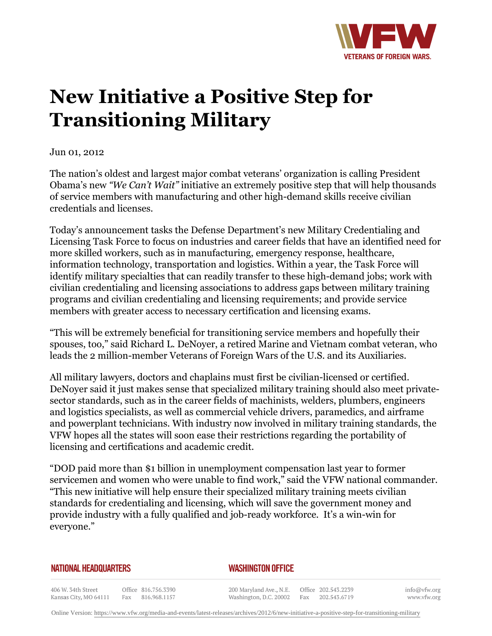

## **New Initiative a Positive Step for Transitioning Military**

Jun 01, 2012

The nation's oldest and largest major combat veterans' organization is calling President Obama's new *"We Can't Wait"* initiative an extremely positive step that will help thousands of service members with manufacturing and other high-demand skills receive civilian credentials and licenses.

Today's announcement tasks the Defense Department's new Military Credentialing and Licensing Task Force to focus on industries and career fields that have an identified need for more skilled workers, such as in manufacturing, emergency response, healthcare, information technology, transportation and logistics. Within a year, the Task Force will identify military specialties that can readily transfer to these high-demand jobs; work with civilian credentialing and licensing associations to address gaps between military training programs and civilian credentialing and licensing requirements; and provide service members with greater access to necessary certification and licensing exams.

"This will be extremely beneficial for transitioning service members and hopefully their spouses, too," said Richard L. DeNoyer, a retired Marine and Vietnam combat veteran, who leads the 2 million-member Veterans of Foreign Wars of the U.S. and its Auxiliaries.

All military lawyers, doctors and chaplains must first be civilian-licensed or certified. DeNoyer said it just makes sense that specialized military training should also meet privatesector standards, such as in the career fields of machinists, welders, plumbers, engineers and logistics specialists, as well as commercial vehicle drivers, paramedics, and airframe and powerplant technicians. With industry now involved in military training standards, the VFW hopes all the states will soon ease their restrictions regarding the portability of licensing and certifications and academic credit.

"DOD paid more than \$1 billion in unemployment compensation last year to former servicemen and women who were unable to find work," said the VFW national commander. "This new initiative will help ensure their specialized military training meets civilian standards for credentialing and licensing, which will save the government money and provide industry with a fully qualified and job-ready workforce. It's a win-win for everyone."

## **NATIONAL HEADQUARTERS**

## *WASHINGTON OFFICE*

406 W. 34th Street Office 816.756.3390 Kansas City, MO 64111 Fax 816.968.1157

200 Maryland Ave., N.E. Washington, D.C. 20002

Office 202.543.2239 Fax 202.543.6719 info@vfw.org www.vfw.org

Online Version:<https://www.vfw.org/media-and-events/latest-releases/archives/2012/6/new-initiative-a-positive-step-for-transitioning-military>